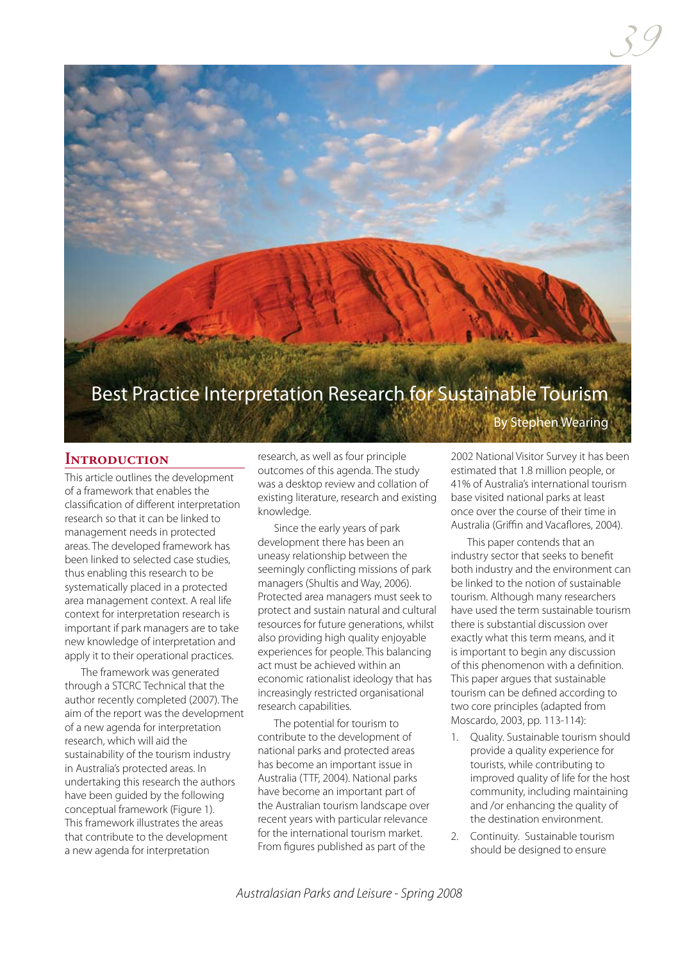

### **Introduction**

This article outlines the development of a framework that enables the classification of different interpretation research so that it can be linked to management needs in protected areas. The developed framework has been linked to selected case studies, thus enabling this research to be systematically placed in a protected area management context. A real life context for interpretation research is important if park managers are to take new knowledge of interpretation and apply it to their operational practices.

The framework was generated through a STCRC Technical that the author recently completed (2007). The aim of the report was the development of a new agenda for interpretation research, which will aid the sustainability of the tourism industry in Australia's protected areas. In undertaking this research the authors have been guided by the following conceptual framework (Figure 1). This framework illustrates the areas that contribute to the development a new agenda for interpretation

research, as well as four principle outcomes of this agenda. The study was a desktop review and collation of existing literature, research and existing knowledge.

Since the early years of park development there has been an uneasy relationship between the seemingly conflicting missions of park managers (Shultis and Way, 2006). Protected area managers must seek to protect and sustain natural and cultural resources for future generations, whilst also providing high quality enjoyable experiences for people. This balancing act must be achieved within an economic rationalist ideology that has increasingly restricted organisational research capabilities.

The potential for tourism to contribute to the development of national parks and protected areas has become an important issue in Australia (TTF, 2004). National parks have become an important part of the Australian tourism landscape over recent years with particular relevance for the international tourism market. From figures published as part of the

2002 National Visitor Survey it has been estimated that 1.8 million people, or 41% of Australia's international tourism base visited national parks at least once over the course of their time in Australia (Griffin and Vacaflores, 2004).

This paper contends that an industry sector that seeks to benefit both industry and the environment can be linked to the notion of sustainable tourism. Although many researchers have used the term sustainable tourism there is substantial discussion over exactly what this term means, and it is important to begin any discussion of this phenomenon with a definition. This paper argues that sustainable tourism can be defined according to two core principles (adapted from Moscardo, 2003, pp. 113-114):

- 1. Quality. Sustainable tourism should provide a quality experience for tourists, while contributing to improved quality of life for the host community, including maintaining and /or enhancing the quality of the destination environment.
- 2. Continuity. Sustainable tourism should be designed to ensure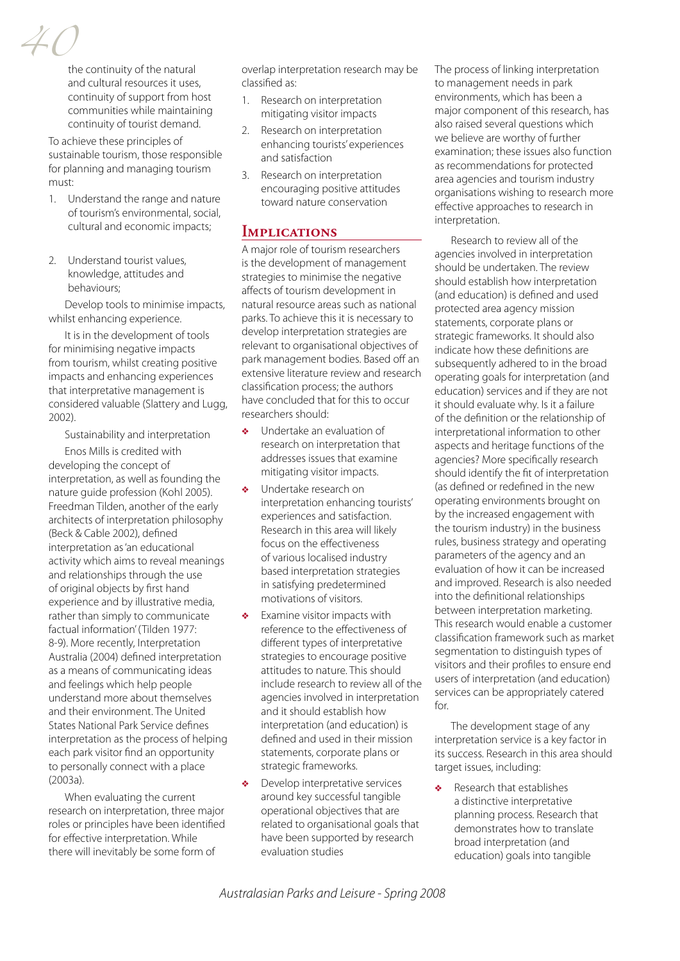*40*

the continuity of the natural and cultural resources it uses, continuity of support from host communities while maintaining continuity of tourist demand.

To achieve these principles of sustainable tourism, those responsible for planning and managing tourism must:

- 1. Understand the range and nature of tourism's environmental, social, cultural and economic impacts;
- 2. Understand tourist values, knowledge, attitudes and behaviours;

Develop tools to minimise impacts, whilst enhancing experience.

It is in the development of tools for minimising negative impacts from tourism, whilst creating positive impacts and enhancing experiences that interpretative management is considered valuable (Slattery and Lugg, 2002).

Sustainability and interpretation

Enos Mills is credited with developing the concept of interpretation, as well as founding the nature guide profession (Kohl 2005). Freedman Tilden, another of the early architects of interpretation philosophy (Beck & Cable 2002), defined interpretation as 'an educational activity which aims to reveal meanings and relationships through the use of original objects by first hand experience and by illustrative media, rather than simply to communicate factual information' (Tilden 1977: 8-9). More recently, Interpretation Australia (2004) defined interpretation as a means of communicating ideas and feelings which help people understand more about themselves and their environment. The United States National Park Service defines interpretation as the process of helping each park visitor find an opportunity to personally connect with a place (2003a).

When evaluating the current research on interpretation, three major roles or principles have been identified for effective interpretation. While there will inevitably be some form of

overlap interpretation research may be classified as:

- 1. Research on interpretation mitigating visitor impacts
- 2. Research on interpretation enhancing tourists' experiences and satisfaction
- 3. Research on interpretation encouraging positive attitudes toward nature conservation

### **Implications**

A major role of tourism researchers is the development of management strategies to minimise the negative affects of tourism development in natural resource areas such as national parks. To achieve this it is necessary to develop interpretation strategies are relevant to organisational objectives of park management bodies. Based off an extensive literature review and research classification process; the authors have concluded that for this to occur researchers should:

- ❖ Undertake an evaluation of research on interpretation that addresses issues that examine mitigating visitor impacts.
- ❖ Undertake research on interpretation enhancing tourists' experiences and satisfaction. Research in this area will likely focus on the effectiveness of various localised industry based interpretation strategies in satisfying predetermined motivations of visitors.
- ❖ Examine visitor impacts with reference to the effectiveness of different types of interpretative strategies to encourage positive attitudes to nature. This should include research to review all of the agencies involved in interpretation and it should establish how interpretation (and education) is defined and used in their mission statements, corporate plans or strategic frameworks.
- ❖ Develop interpretative services around key successful tangible operational objectives that are related to organisational goals that have been supported by research evaluation studies

The process of linking interpretation to management needs in park environments, which has been a major component of this research, has also raised several questions which we believe are worthy of further examination; these issues also function as recommendations for protected area agencies and tourism industry organisations wishing to research more effective approaches to research in interpretation.

Research to review all of the agencies involved in interpretation should be undertaken. The review should establish how interpretation (and education) is defined and used protected area agency mission statements, corporate plans or strategic frameworks. It should also indicate how these definitions are subsequently adhered to in the broad operating goals for interpretation (and education) services and if they are not it should evaluate why. Is it a failure of the definition or the relationship of interpretational information to other aspects and heritage functions of the agencies? More specifically research should identify the fit of interpretation (as defined or redefined in the new operating environments brought on by the increased engagement with the tourism industry) in the business rules, business strategy and operating parameters of the agency and an evaluation of how it can be increased and improved. Research is also needed into the definitional relationships between interpretation marketing. This research would enable a customer classification framework such as market segmentation to distinguish types of visitors and their profiles to ensure end users of interpretation (and education) services can be appropriately catered for.

The development stage of any interpretation service is a key factor in its success. Research in this area should target issues, including:

❖ Research that establishes a distinctive interpretative planning process. Research that demonstrates how to translate broad interpretation (and education) goals into tangible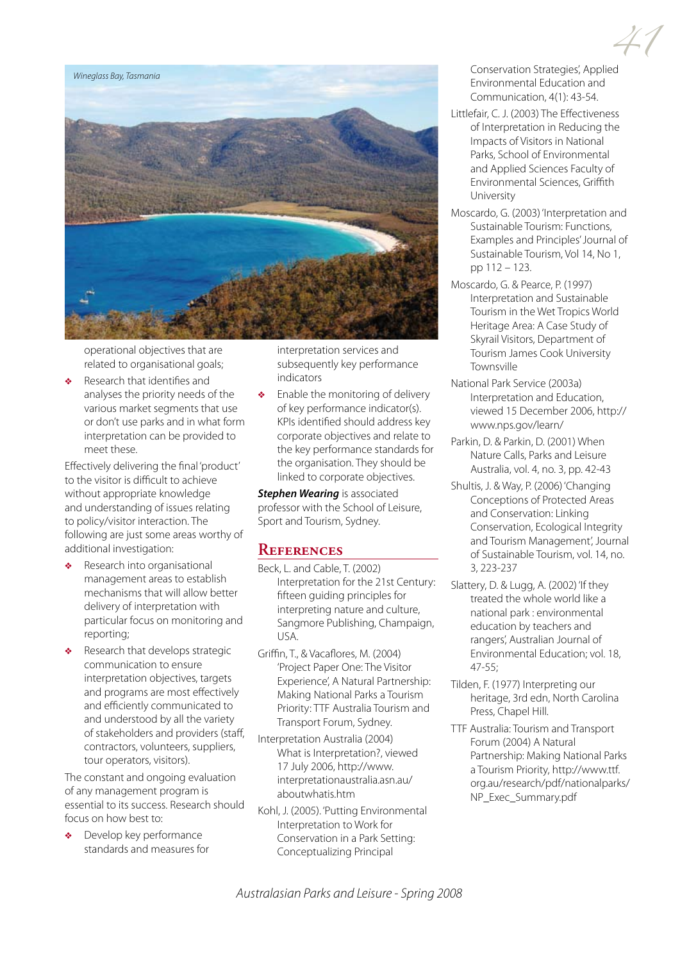

operational objectives that are related to organisational goals;

❖ Research that identifies and analyses the priority needs of the various market segments that use or don't use parks and in what form interpretation can be provided to meet these.

Effectively delivering the final 'product' to the visitor is difficult to achieve without appropriate knowledge and understanding of issues relating to policy/visitor interaction. The following are just some areas worthy of additional investigation:

- ❖ Research into organisational management areas to establish mechanisms that will allow better delivery of interpretation with particular focus on monitoring and reporting;
- ❖ Research that develops strategic communication to ensure interpretation objectives, targets and programs are most effectively and efficiently communicated to and understood by all the variety of stakeholders and providers (staff, contractors, volunteers, suppliers, tour operators, visitors).

The constant and ongoing evaluation of any management program is essential to its success. Research should focus on how best to:

Develop key performance standards and measures for interpretation services and subsequently key performance indicators

Enable the monitoring of delivery of key performance indicator(s). KPIs identified should address key corporate objectives and relate to the key performance standards for the organisation. They should be linked to corporate objectives.

*Stephen Wearing* is associated professor with the School of Leisure, Sport and Tourism, Sydney.

## **References**

- Beck, L. and Cable, T. (2002) Interpretation for the 21st Century: fifteen guiding principles for interpreting nature and culture, Sangmore Publishing, Champaign, USA.
- Griffin, T., & Vacaflores, M. (2004) 'Project Paper One: The Visitor Experience', A Natural Partnership: Making National Parks a Tourism Priority: TTF Australia Tourism and Transport Forum, Sydney.
- Interpretation Australia (2004) What is Interpretation?, viewed 17 July 2006, http://www. interpretationaustralia.asn.au/ aboutwhatis.htm
- Kohl, J. (2005). 'Putting Environmental Interpretation to Work for Conservation in a Park Setting: Conceptualizing Principal

*41* Conservation Strategies', Applied Environmental Education and Communication, 4(1): 43-54.

- Littlefair, C. J. (2003) The Effectiveness of Interpretation in Reducing the Impacts of Visitors in National Parks, School of Environmental and Applied Sciences Faculty of Environmental Sciences, Griffith University
- Moscardo, G. (2003) 'Interpretation and Sustainable Tourism: Functions, Examples and Principles' Journal of Sustainable Tourism, Vol 14, No 1, pp 112 – 123.
- Moscardo, G. & Pearce, P. (1997) Interpretation and Sustainable Tourism in the Wet Tropics World Heritage Area: A Case Study of Skyrail Visitors, Department of Tourism James Cook University Townsville
- National Park Service (2003a) Interpretation and Education, viewed 15 December 2006, http:// www.nps.gov/learn/
- Parkin, D. & Parkin, D. (2001) When Nature Calls, Parks and Leisure Australia, vol. 4, no. 3, pp. 42-43
- Shultis, J. & Way, P. (2006) 'Changing Conceptions of Protected Areas and Conservation: Linking Conservation, Ecological Integrity and Tourism Management', Journal of Sustainable Tourism, vol. 14, no. 3, 223-237
- Slattery, D. & Lugg, A. (2002) 'If they treated the whole world like a national park : environmental education by teachers and rangers', Australian Journal of Environmental Education; vol. 18, 47-55;
- Tilden, F. (1977) Interpreting our heritage, 3rd edn, North Carolina Press, Chapel Hill.
- TTF Australia: Tourism and Transport Forum (2004) A Natural Partnership: Making National Parks a Tourism Priority, http://www.ttf. org.au/research/pdf/nationalparks/ NP\_Exec\_Summary.pdf